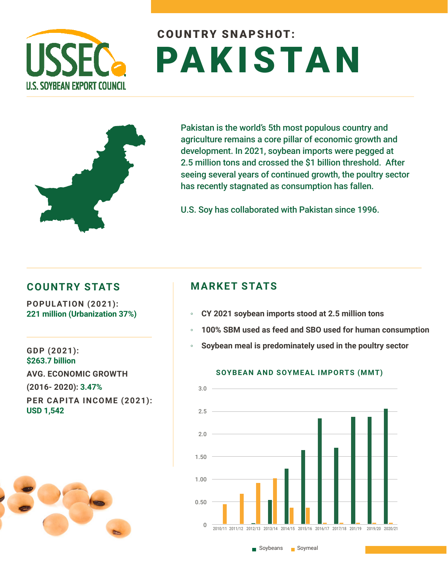

# COUNTRY SNAPSHOT: PAKISTAN



Pakistan is the world's 5th most populous country and agriculture remains a core pillar of economic growth and development. In 2021, soybean imports were pegged at 2.5 million tons and crossed the \$1 billion threshold. After seeing several years of continued growth, the poultry sector has recently stagnated as consumption has fallen.

U.S. Soy has collaborated with Pakistan since 1996.

## **COUNTRY STATS MARKET STATS**

**POPULATION (2021): 221 million (Urbanization 37%)**

**GDP (2021): \$263.7 billion AVG. ECONOMIC GROWTH (2016- 2020): 3.47% PER CAPITA INCOME (2021): USD 1,542**



- **CY 2021 soybean imports stood at 2.5 million tons**
- **100% SBM used as feed and SBO used for human consumption**
- **Soybean meal is predominately used in the poultry sector**



### **SOYBEAN AND SOYMEAL IMPORTS (MMT)**